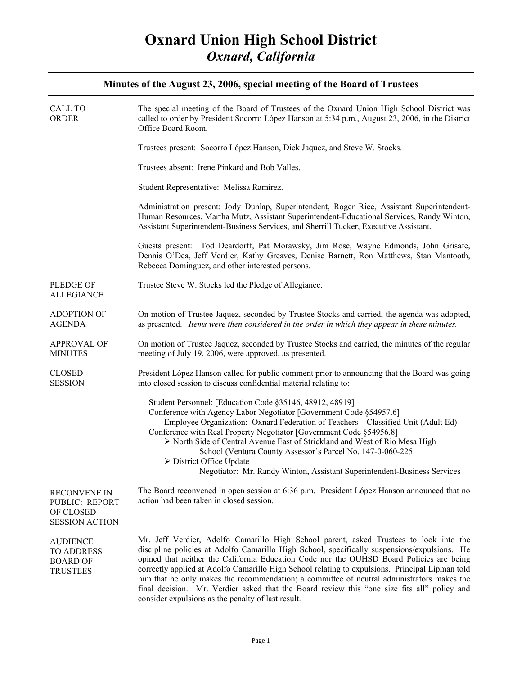| <b>CALL TO</b><br><b>ORDER</b>                                              | The special meeting of the Board of Trustees of the Oxnard Union High School District was<br>called to order by President Socorro López Hanson at 5:34 p.m., August 23, 2006, in the District<br>Office Board Room.                                                                                                                                                                                                                                                                                                                                                                                                                      |
|-----------------------------------------------------------------------------|------------------------------------------------------------------------------------------------------------------------------------------------------------------------------------------------------------------------------------------------------------------------------------------------------------------------------------------------------------------------------------------------------------------------------------------------------------------------------------------------------------------------------------------------------------------------------------------------------------------------------------------|
|                                                                             | Trustees present: Socorro López Hanson, Dick Jaquez, and Steve W. Stocks.                                                                                                                                                                                                                                                                                                                                                                                                                                                                                                                                                                |
|                                                                             | Trustees absent: Irene Pinkard and Bob Valles.                                                                                                                                                                                                                                                                                                                                                                                                                                                                                                                                                                                           |
|                                                                             | Student Representative: Melissa Ramirez.                                                                                                                                                                                                                                                                                                                                                                                                                                                                                                                                                                                                 |
|                                                                             | Administration present: Jody Dunlap, Superintendent, Roger Rice, Assistant Superintendent-<br>Human Resources, Martha Mutz, Assistant Superintendent-Educational Services, Randy Winton,<br>Assistant Superintendent-Business Services, and Sherrill Tucker, Executive Assistant.                                                                                                                                                                                                                                                                                                                                                        |
|                                                                             | Guests present: Tod Deardorff, Pat Morawsky, Jim Rose, Wayne Edmonds, John Grisafe,<br>Dennis O'Dea, Jeff Verdier, Kathy Greaves, Denise Barnett, Ron Matthews, Stan Mantooth,<br>Rebecca Dominguez, and other interested persons.                                                                                                                                                                                                                                                                                                                                                                                                       |
| <b>PLEDGE OF</b><br><b>ALLEGIANCE</b>                                       | Trustee Steve W. Stocks led the Pledge of Allegiance.                                                                                                                                                                                                                                                                                                                                                                                                                                                                                                                                                                                    |
| <b>ADOPTION OF</b><br><b>AGENDA</b>                                         | On motion of Trustee Jaquez, seconded by Trustee Stocks and carried, the agenda was adopted,<br>as presented. Items were then considered in the order in which they appear in these minutes.                                                                                                                                                                                                                                                                                                                                                                                                                                             |
| <b>APPROVAL OF</b><br><b>MINUTES</b>                                        | On motion of Trustee Jaquez, seconded by Trustee Stocks and carried, the minutes of the regular<br>meeting of July 19, 2006, were approved, as presented.                                                                                                                                                                                                                                                                                                                                                                                                                                                                                |
| <b>CLOSED</b><br><b>SESSION</b>                                             | President López Hanson called for public comment prior to announcing that the Board was going<br>into closed session to discuss confidential material relating to:                                                                                                                                                                                                                                                                                                                                                                                                                                                                       |
|                                                                             | Student Personnel: [Education Code §35146, 48912, 48919]<br>Conference with Agency Labor Negotiator [Government Code §54957.6]<br>Employee Organization: Oxnard Federation of Teachers - Classified Unit (Adult Ed)<br>Conference with Real Property Negotiator [Government Code §54956.8]<br>> North Side of Central Avenue East of Strickland and West of Rio Mesa High<br>School (Ventura County Assessor's Parcel No. 147-0-060-225<br>> District Office Update<br>Negotiator: Mr. Randy Winton, Assistant Superintendent-Business Services                                                                                          |
| <b>RECONVENE IN</b><br>PUBLIC: REPORT<br>OF CLOSED<br><b>SESSION ACTION</b> | The Board reconvened in open session at 6:36 p.m. President López Hanson announced that no<br>action had been taken in closed session.                                                                                                                                                                                                                                                                                                                                                                                                                                                                                                   |
| <b>AUDIENCE</b><br><b>TO ADDRESS</b><br><b>BOARD OF</b><br><b>TRUSTEES</b>  | Mr. Jeff Verdier, Adolfo Camarillo High School parent, asked Trustees to look into the<br>discipline policies at Adolfo Camarillo High School, specifically suspensions/expulsions. He<br>opined that neither the California Education Code nor the OUHSD Board Policies are being<br>correctly applied at Adolfo Camarillo High School relating to expulsions. Principal Lipman told<br>him that he only makes the recommendation; a committee of neutral administrators makes the<br>final decision. Mr. Verdier asked that the Board review this "one size fits all" policy and<br>consider expulsions as the penalty of last result. |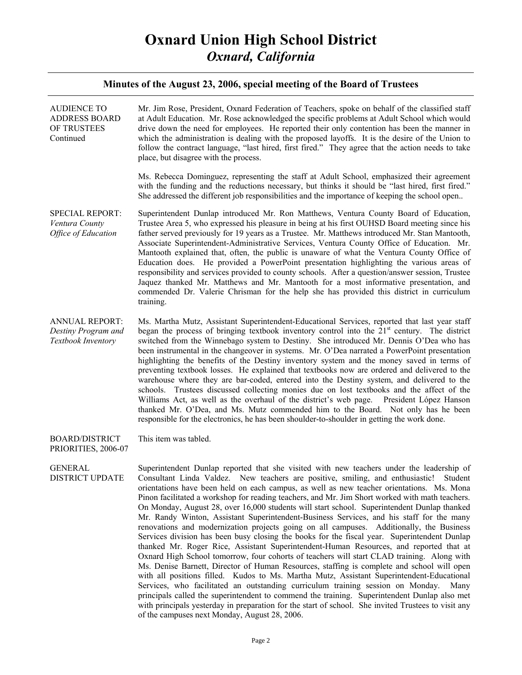| <b>AUDIENCE TO</b><br><b>ADDRESS BOARD</b><br>OF TRUSTEES<br>Continued | Mr. Jim Rose, President, Oxnard Federation of Teachers, spoke on behalf of the classified staff<br>at Adult Education. Mr. Rose acknowledged the specific problems at Adult School which would<br>drive down the need for employees. He reported their only contention has been the manner in<br>which the administration is dealing with the proposed layoffs. It is the desire of the Union to<br>follow the contract language, "last hired, first fired." They agree that the action needs to take<br>place, but disagree with the process.                                                                                                                                                                                                                                                                                                                                                                                                                                                                                                                                                                                                                                                                                                                                                                                                                                                                                                                                                                      |
|------------------------------------------------------------------------|---------------------------------------------------------------------------------------------------------------------------------------------------------------------------------------------------------------------------------------------------------------------------------------------------------------------------------------------------------------------------------------------------------------------------------------------------------------------------------------------------------------------------------------------------------------------------------------------------------------------------------------------------------------------------------------------------------------------------------------------------------------------------------------------------------------------------------------------------------------------------------------------------------------------------------------------------------------------------------------------------------------------------------------------------------------------------------------------------------------------------------------------------------------------------------------------------------------------------------------------------------------------------------------------------------------------------------------------------------------------------------------------------------------------------------------------------------------------------------------------------------------------|
|                                                                        | Ms. Rebecca Dominguez, representing the staff at Adult School, emphasized their agreement<br>with the funding and the reductions necessary, but thinks it should be "last hired, first fired."<br>She addressed the different job responsibilities and the importance of keeping the school open                                                                                                                                                                                                                                                                                                                                                                                                                                                                                                                                                                                                                                                                                                                                                                                                                                                                                                                                                                                                                                                                                                                                                                                                                    |
| <b>SPECIAL REPORT:</b><br>Ventura County<br><b>Office of Education</b> | Superintendent Dunlap introduced Mr. Ron Matthews, Ventura County Board of Education,<br>Trustee Area 5, who expressed his pleasure in being at his first OUHSD Board meeting since his<br>father served previously for 19 years as a Trustee. Mr. Matthews introduced Mr. Stan Mantooth,<br>Associate Superintendent-Administrative Services, Ventura County Office of Education. Mr.<br>Mantooth explained that, often, the public is unaware of what the Ventura County Office of<br>Education does. He provided a PowerPoint presentation highlighting the various areas of<br>responsibility and services provided to county schools. After a question/answer session, Trustee<br>Jaquez thanked Mr. Matthews and Mr. Mantooth for a most informative presentation, and<br>commended Dr. Valerie Chrisman for the help she has provided this district in curriculum<br>training.                                                                                                                                                                                                                                                                                                                                                                                                                                                                                                                                                                                                                               |
| <b>ANNUAL REPORT:</b><br>Destiny Program and<br>Textbook Inventory     | Ms. Martha Mutz, Assistant Superintendent-Educational Services, reported that last year staff<br>began the process of bringing textbook inventory control into the $21st$ century. The district<br>switched from the Winnebago system to Destiny. She introduced Mr. Dennis O'Dea who has<br>been instrumental in the changeover in systems. Mr. O'Dea narrated a PowerPoint presentation<br>highlighting the benefits of the Destiny inventory system and the money saved in terms of<br>preventing textbook losses. He explained that textbooks now are ordered and delivered to the<br>warehouse where they are bar-coded, entered into the Destiny system, and delivered to the<br>schools. Trustees discussed collecting monies due on lost textbooks and the affect of the<br>Williams Act, as well as the overhaul of the district's web page. President López Hanson<br>thanked Mr. O'Dea, and Ms. Mutz commended him to the Board. Not only has he been<br>responsible for the electronics, he has been shoulder-to-shoulder in getting the work done.                                                                                                                                                                                                                                                                                                                                                                                                                                                     |
| <b>BOARD/DISTRICT</b><br>PRIORITIES, 2006-07                           | This item was tabled.                                                                                                                                                                                                                                                                                                                                                                                                                                                                                                                                                                                                                                                                                                                                                                                                                                                                                                                                                                                                                                                                                                                                                                                                                                                                                                                                                                                                                                                                                               |
| <b>GENERAL</b><br><b>DISTRICT UPDATE</b>                               | Superintendent Dunlap reported that she visited with new teachers under the leadership of<br>Consultant Linda Valdez. New teachers are positive, smiling, and enthusiastic!<br>Student<br>orientations have been held on each campus, as well as new teacher orientations. Ms. Mona<br>Pinon facilitated a workshop for reading teachers, and Mr. Jim Short worked with math teachers.<br>On Monday, August 28, over 16,000 students will start school. Superintendent Dunlap thanked<br>Mr. Randy Winton, Assistant Superintendent-Business Services, and his staff for the many<br>renovations and modernization projects going on all campuses. Additionally, the Business<br>Services division has been busy closing the books for the fiscal year. Superintendent Dunlap<br>thanked Mr. Roger Rice, Assistant Superintendent-Human Resources, and reported that at<br>Oxnard High School tomorrow, four cohorts of teachers will start CLAD training. Along with<br>Ms. Denise Barnett, Director of Human Resources, staffing is complete and school will open<br>with all positions filled. Kudos to Ms. Martha Mutz, Assistant Superintendent-Educational<br>Services, who facilitated an outstanding curriculum training session on Monday.<br>Many<br>principals called the superintendent to commend the training. Superintendent Dunlap also met<br>with principals yesterday in preparation for the start of school. She invited Trustees to visit any<br>of the campuses next Monday, August 28, 2006. |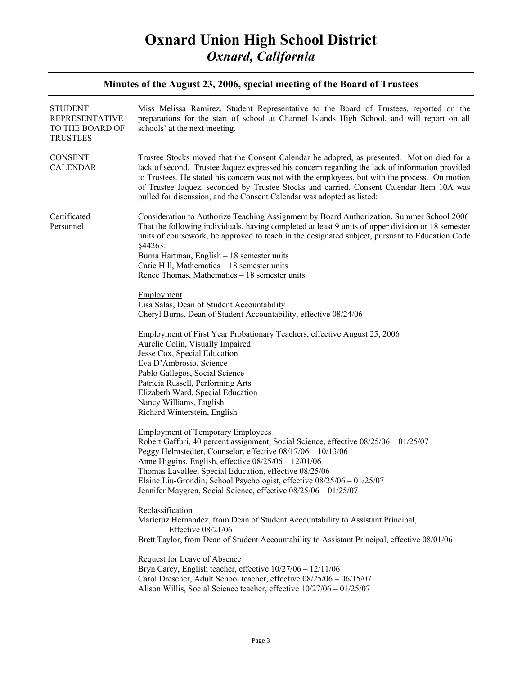| <b>STUDENT</b><br><b>REPRESENTATIVE</b><br>TO THE BOARD OF<br><b>TRUSTEES</b> | Miss Melissa Ramirez, Student Representative to the Board of Trustees, reported on the<br>preparations for the start of school at Channel Islands High School, and will report on all<br>schools' at the next meeting.                                                                                                                                                                                                                                                                                                                                                                                                                                                                                                                                                                                                                                                                                                                                                                                                                                                                                                                                                                                                                                                                                                                                                                                                                                                                                                                                                                                                                                                                                                                                                                                                                                                                              |
|-------------------------------------------------------------------------------|-----------------------------------------------------------------------------------------------------------------------------------------------------------------------------------------------------------------------------------------------------------------------------------------------------------------------------------------------------------------------------------------------------------------------------------------------------------------------------------------------------------------------------------------------------------------------------------------------------------------------------------------------------------------------------------------------------------------------------------------------------------------------------------------------------------------------------------------------------------------------------------------------------------------------------------------------------------------------------------------------------------------------------------------------------------------------------------------------------------------------------------------------------------------------------------------------------------------------------------------------------------------------------------------------------------------------------------------------------------------------------------------------------------------------------------------------------------------------------------------------------------------------------------------------------------------------------------------------------------------------------------------------------------------------------------------------------------------------------------------------------------------------------------------------------------------------------------------------------------------------------------------------------|
| <b>CONSENT</b><br><b>CALENDAR</b>                                             | Trustee Stocks moved that the Consent Calendar be adopted, as presented. Motion died for a<br>lack of second. Trustee Jaquez expressed his concern regarding the lack of information provided<br>to Trustees. He stated his concern was not with the employees, but with the process. On motion<br>of Trustee Jaquez, seconded by Trustee Stocks and carried, Consent Calendar Item 10A was<br>pulled for discussion, and the Consent Calendar was adopted as listed:                                                                                                                                                                                                                                                                                                                                                                                                                                                                                                                                                                                                                                                                                                                                                                                                                                                                                                                                                                                                                                                                                                                                                                                                                                                                                                                                                                                                                               |
| Certificated<br>Personnel                                                     | Consideration to Authorize Teaching Assignment by Board Authorization, Summer School 2006<br>That the following individuals, having completed at least 9 units of upper division or 18 semester<br>units of coursework, be approved to teach in the designated subject, pursuant to Education Code<br>§44263:<br>Burna Hartman, English - 18 semester units<br>Carie Hill, Mathematics - 18 semester units<br>Renee Thomas, Mathematics $-18$ semester units<br>Employment<br>Lisa Salas, Dean of Student Accountability<br>Cheryl Burns, Dean of Student Accountability, effective 08/24/06<br>Employment of First Year Probationary Teachers, effective August 25, 2006<br>Aurelie Colin, Visually Impaired<br>Jesse Cox, Special Education<br>Eva D'Ambrosio, Science<br>Pablo Gallegos, Social Science<br>Patricia Russell, Performing Arts<br>Elizabeth Ward, Special Education<br>Nancy Williams, English<br>Richard Winterstein, English<br><b>Employment of Temporary Employees</b><br>Robert Gaffuri, 40 percent assignment, Social Science, effective 08/25/06 - 01/25/07<br>Peggy Helmstedter, Counselor, effective 08/17/06 - 10/13/06<br>Anne Higgins, English, effective $08/25/06 - 12/01/06$<br>Thomas Lavallee, Special Education, effective 08/25/06<br>Elaine Liu-Grondin, School Psychologist, effective 08/25/06 - 01/25/07<br>Jennifer Maygren, Social Science, effective 08/25/06 - 01/25/07<br>Reclassification<br>Maricruz Hernandez, from Dean of Student Accountability to Assistant Principal,<br>Effective $08/21/06$<br>Brett Taylor, from Dean of Student Accountability to Assistant Principal, effective 08/01/06<br>Request for Leave of Absence<br>Bryn Carey, English teacher, effective $10/27/06 - 12/11/06$<br>Carol Drescher, Adult School teacher, effective 08/25/06 - 06/15/07<br>Alison Willis, Social Science teacher, effective $10/27/06 - 01/25/07$ |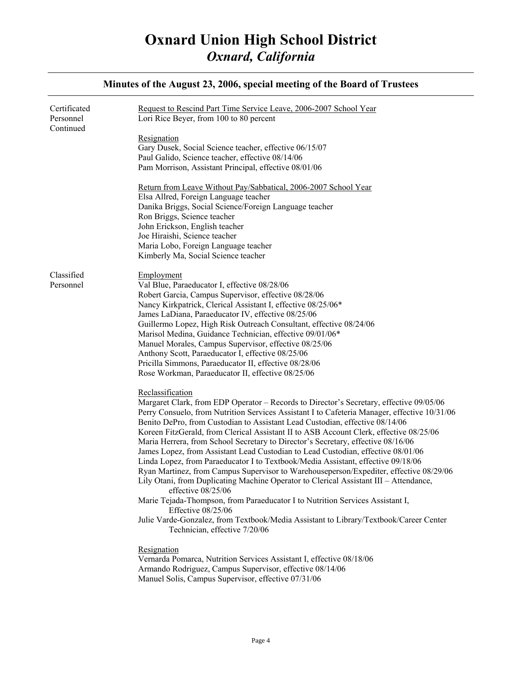#### Certificated Personnel Continued Classified Personnel Request to Rescind Part Time Service Leave, 2006-2007 School Year Lori Rice Beyer, from 100 to 80 percent Resignation Gary Dusek, Social Science teacher, effective 06/15/07 Paul Galido, Science teacher, effective 08/14/06 Pam Morrison, Assistant Principal, effective 08/01/06 Return from Leave Without Pay/Sabbatical, 2006-2007 School Year Elsa Allred, Foreign Language teacher Danika Briggs, Social Science/Foreign Language teacher Ron Briggs, Science teacher John Erickson, English teacher Joe Hiraishi, Science teacher Maria Lobo, Foreign Language teacher Kimberly Ma, Social Science teacher **Employment** Val Blue, Paraeducator I, effective 08/28/06 Robert Garcia, Campus Supervisor, effective 08/28/06 Nancy Kirkpatrick, Clerical Assistant I, effective 08/25/06\* James LaDiana, Paraeducator IV, effective 08/25/06 Guillermo Lopez, High Risk Outreach Consultant, effective 08/24/06 Marisol Medina, Guidance Technician, effective 09/01/06\* Manuel Morales, Campus Supervisor, effective 08/25/06 Anthony Scott, Paraeducator I, effective 08/25/06 Pricilla Simmons, Paraeducator II, effective 08/28/06 Rose Workman, Paraeducator II, effective 08/25/06 Reclassification Margaret Clark, from EDP Operator – Records to Director's Secretary, effective 09/05/06 Perry Consuelo, from Nutrition Services Assistant I to Cafeteria Manager, effective 10/31/06 Benito DePro, from Custodian to Assistant Lead Custodian, effective 08/14/06 Koreen FitzGerald, from Clerical Assistant II to ASB Account Clerk, effective 08/25/06 Maria Herrera, from School Secretary to Director's Secretary, effective 08/16/06 James Lopez, from Assistant Lead Custodian to Lead Custodian, effective 08/01/06 Linda Lopez, from Paraeducator I to Textbook/Media Assistant, effective 09/18/06 Ryan Martinez, from Campus Supervisor to Warehouseperson/Expediter, effective 08/29/06 Lily Otani, from Duplicating Machine Operator to Clerical Assistant III – Attendance, effective 08/25/06 Marie Tejada-Thompson, from Paraeducator I to Nutrition Services Assistant I, Effective 08/25/06 Julie Varde-Gonzalez, from Textbook/Media Assistant to Library/Textbook/Career Center Technician, effective 7/20/06 Resignation Vernarda Pomarca, Nutrition Services Assistant I, effective 08/18/06 Armando Rodriguez, Campus Supervisor, effective 08/14/06 Manuel Solis, Campus Supervisor, effective 07/31/06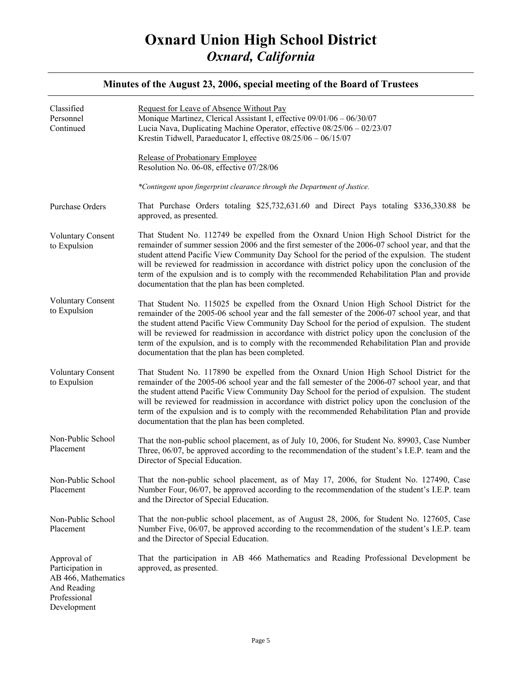| Classified<br>Personnel<br>Continued                                                                 | Request for Leave of Absence Without Pay<br>Monique Martinez, Clerical Assistant I, effective 09/01/06 - 06/30/07<br>Lucia Nava, Duplicating Machine Operator, effective 08/25/06 - 02/23/07<br>Krestin Tidwell, Paraeducator I, effective 08/25/06 - 06/15/07                                                                                                                                                                                                                                                                                  |
|------------------------------------------------------------------------------------------------------|-------------------------------------------------------------------------------------------------------------------------------------------------------------------------------------------------------------------------------------------------------------------------------------------------------------------------------------------------------------------------------------------------------------------------------------------------------------------------------------------------------------------------------------------------|
|                                                                                                      | Release of Probationary Employee<br>Resolution No. 06-08, effective 07/28/06                                                                                                                                                                                                                                                                                                                                                                                                                                                                    |
|                                                                                                      | *Contingent upon fingerprint clearance through the Department of Justice.                                                                                                                                                                                                                                                                                                                                                                                                                                                                       |
| Purchase Orders                                                                                      | That Purchase Orders totaling \$25,732,631.60 and Direct Pays totaling \$336,330.88 be<br>approved, as presented.                                                                                                                                                                                                                                                                                                                                                                                                                               |
| <b>Voluntary Consent</b><br>to Expulsion                                                             | That Student No. 112749 be expelled from the Oxnard Union High School District for the<br>remainder of summer session 2006 and the first semester of the 2006-07 school year, and that the<br>student attend Pacific View Community Day School for the period of the expulsion. The student<br>will be reviewed for readmission in accordance with district policy upon the conclusion of the<br>term of the expulsion and is to comply with the recommended Rehabilitation Plan and provide<br>documentation that the plan has been completed. |
| <b>Voluntary Consent</b><br>to Expulsion                                                             | That Student No. 115025 be expelled from the Oxnard Union High School District for the<br>remainder of the 2005-06 school year and the fall semester of the 2006-07 school year, and that<br>the student attend Pacific View Community Day School for the period of expulsion. The student<br>will be reviewed for readmission in accordance with district policy upon the conclusion of the<br>term of the expulsion, and is to comply with the recommended Rehabilitation Plan and provide<br>documentation that the plan has been completed. |
| <b>Voluntary Consent</b><br>to Expulsion                                                             | That Student No. 117890 be expelled from the Oxnard Union High School District for the<br>remainder of the 2005-06 school year and the fall semester of the 2006-07 school year, and that<br>the student attend Pacific View Community Day School for the period of expulsion. The student<br>will be reviewed for readmission in accordance with district policy upon the conclusion of the<br>term of the expulsion and is to comply with the recommended Rehabilitation Plan and provide<br>documentation that the plan has been completed.  |
| Non-Public School<br>Placement                                                                       | That the non-public school placement, as of July 10, 2006, for Student No. 89903, Case Number<br>Three, 06/07, be approved according to the recommendation of the student's I.E.P. team and the<br>Director of Special Education.                                                                                                                                                                                                                                                                                                               |
| Non-Public School<br>Placement                                                                       | That the non-public school placement, as of May 17, 2006, for Student No. 127490, Case<br>Number Four, 06/07, be approved according to the recommendation of the student's I.E.P. team<br>and the Director of Special Education.                                                                                                                                                                                                                                                                                                                |
| Non-Public School<br>Placement                                                                       | That the non-public school placement, as of August 28, 2006, for Student No. 127605, Case<br>Number Five, 06/07, be approved according to the recommendation of the student's I.E.P. team<br>and the Director of Special Education.                                                                                                                                                                                                                                                                                                             |
| Approval of<br>Participation in<br>AB 466, Mathematics<br>And Reading<br>Professional<br>Development | That the participation in AB 466 Mathematics and Reading Professional Development be<br>approved, as presented.                                                                                                                                                                                                                                                                                                                                                                                                                                 |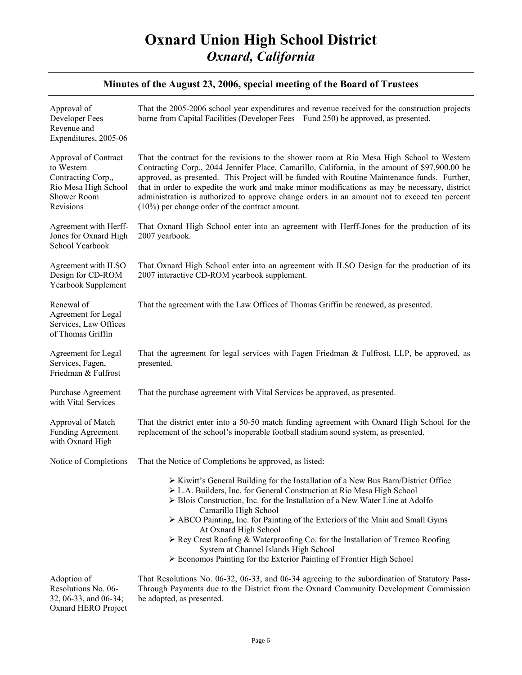| Approval of<br>Developer Fees<br>Revenue and<br>Expenditures, 2005-06                                        | That the 2005-2006 school year expenditures and revenue received for the construction projects<br>borne from Capital Facilities (Developer Fees – Fund 250) be approved, as presented.                                                                                                                                                                                                                                                                                                                                                                                                                                                            |
|--------------------------------------------------------------------------------------------------------------|---------------------------------------------------------------------------------------------------------------------------------------------------------------------------------------------------------------------------------------------------------------------------------------------------------------------------------------------------------------------------------------------------------------------------------------------------------------------------------------------------------------------------------------------------------------------------------------------------------------------------------------------------|
| Approval of Contract<br>to Western<br>Contracting Corp.,<br>Rio Mesa High School<br>Shower Room<br>Revisions | That the contract for the revisions to the shower room at Rio Mesa High School to Western<br>Contracting Corp., 2044 Jennifer Place, Camarillo, California, in the amount of \$97,900.00 be<br>approved, as presented. This Project will be funded with Routine Maintenance funds. Further,<br>that in order to expedite the work and make minor modifications as may be necessary, district<br>administration is authorized to approve change orders in an amount not to exceed ten percent<br>$(10\%)$ per change order of the contract amount.                                                                                                 |
| Agreement with Herff-<br>Jones for Oxnard High<br>School Yearbook                                            | That Oxnard High School enter into an agreement with Herff-Jones for the production of its<br>2007 yearbook.                                                                                                                                                                                                                                                                                                                                                                                                                                                                                                                                      |
| Agreement with ILSO<br>Design for CD-ROM<br>Yearbook Supplement                                              | That Oxnard High School enter into an agreement with ILSO Design for the production of its<br>2007 interactive CD-ROM yearbook supplement.                                                                                                                                                                                                                                                                                                                                                                                                                                                                                                        |
| Renewal of<br>Agreement for Legal<br>Services, Law Offices<br>of Thomas Griffin                              | That the agreement with the Law Offices of Thomas Griffin be renewed, as presented.                                                                                                                                                                                                                                                                                                                                                                                                                                                                                                                                                               |
| Agreement for Legal<br>Services, Fagen,<br>Friedman & Fulfrost                                               | That the agreement for legal services with Fagen Friedman & Fulfrost, LLP, be approved, as<br>presented.                                                                                                                                                                                                                                                                                                                                                                                                                                                                                                                                          |
| Purchase Agreement<br>with Vital Services                                                                    | That the purchase agreement with Vital Services be approved, as presented.                                                                                                                                                                                                                                                                                                                                                                                                                                                                                                                                                                        |
| Approval of Match<br><b>Funding Agreement</b><br>with Oxnard High                                            | That the district enter into a 50-50 match funding agreement with Oxnard High School for the<br>replacement of the school's inoperable football stadium sound system, as presented.                                                                                                                                                                                                                                                                                                                                                                                                                                                               |
| Notice of Completions                                                                                        | That the Notice of Completions be approved, as listed:                                                                                                                                                                                                                                                                                                                                                                                                                                                                                                                                                                                            |
|                                                                                                              | $\triangleright$ Kiwitt's General Building for the Installation of a New Bus Barn/District Office<br>> L.A. Builders, Inc. for General Construction at Rio Mesa High School<br>$\triangleright$ Blois Construction, Inc. for the Installation of a New Water Line at Adolfo<br>Camarillo High School<br>$\triangleright$ ABCO Painting, Inc. for Painting of the Exteriors of the Main and Small Gyms<br>At Oxnard High School<br>$\triangleright$ Rey Crest Roofing & Waterproofing Co. for the Installation of Tremco Roofing<br>System at Channel Islands High School<br>> Economos Painting for the Exterior Painting of Frontier High School |
| Adoption of<br>Resolutions No. 06-<br>32, 06-33, and 06-34;                                                  | That Resolutions No. 06-32, 06-33, and 06-34 agreeing to the subordination of Statutory Pass-<br>Through Payments due to the District from the Oxnard Community Development Commission<br>be adopted, as presented.                                                                                                                                                                                                                                                                                                                                                                                                                               |

32, 06-33, and 06-34; Oxnard HERO Project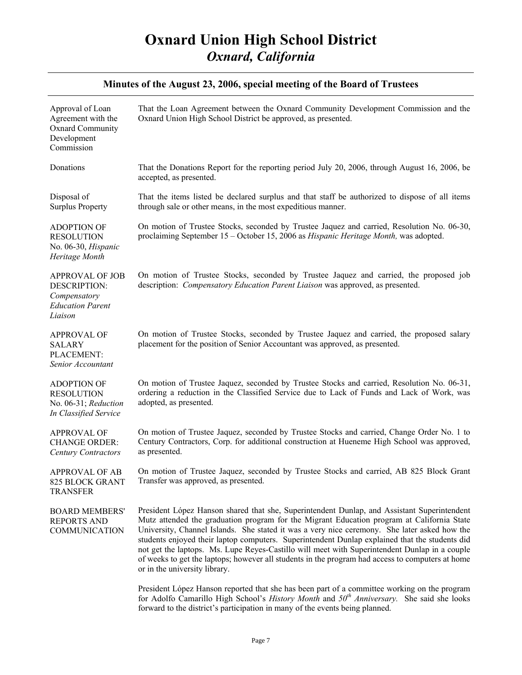| Approval of Loan<br>Agreement with the<br>Oxnard Community<br>Development<br>Commission      | That the Loan Agreement between the Oxnard Community Development Commission and the<br>Oxnard Union High School District be approved, as presented.                                                                                                                                                                                                                                                                                                                                                                                                                                                                               |
|----------------------------------------------------------------------------------------------|-----------------------------------------------------------------------------------------------------------------------------------------------------------------------------------------------------------------------------------------------------------------------------------------------------------------------------------------------------------------------------------------------------------------------------------------------------------------------------------------------------------------------------------------------------------------------------------------------------------------------------------|
| Donations                                                                                    | That the Donations Report for the reporting period July 20, 2006, through August 16, 2006, be<br>accepted, as presented.                                                                                                                                                                                                                                                                                                                                                                                                                                                                                                          |
| Disposal of<br><b>Surplus Property</b>                                                       | That the items listed be declared surplus and that staff be authorized to dispose of all items<br>through sale or other means, in the most expeditious manner.                                                                                                                                                                                                                                                                                                                                                                                                                                                                    |
| <b>ADOPTION OF</b><br><b>RESOLUTION</b><br>No. 06-30, Hispanic<br>Heritage Month             | On motion of Trustee Stocks, seconded by Trustee Jaquez and carried, Resolution No. 06-30,<br>proclaiming September 15 - October 15, 2006 as Hispanic Heritage Month, was adopted.                                                                                                                                                                                                                                                                                                                                                                                                                                                |
| <b>APPROVAL OF JOB</b><br>DESCRIPTION:<br>Compensatory<br><b>Education Parent</b><br>Liaison | On motion of Trustee Stocks, seconded by Trustee Jaquez and carried, the proposed job<br>description: <i>Compensatory Education Parent Liaison</i> was approved, as presented.                                                                                                                                                                                                                                                                                                                                                                                                                                                    |
| <b>APPROVAL OF</b><br><b>SALARY</b><br>PLACEMENT:<br>Senior Accountant                       | On motion of Trustee Stocks, seconded by Trustee Jaquez and carried, the proposed salary<br>placement for the position of Senior Accountant was approved, as presented.                                                                                                                                                                                                                                                                                                                                                                                                                                                           |
| <b>ADOPTION OF</b><br><b>RESOLUTION</b><br>No. 06-31; Reduction<br>In Classified Service     | On motion of Trustee Jaquez, seconded by Trustee Stocks and carried, Resolution No. 06-31,<br>ordering a reduction in the Classified Service due to Lack of Funds and Lack of Work, was<br>adopted, as presented.                                                                                                                                                                                                                                                                                                                                                                                                                 |
| <b>APPROVAL OF</b><br><b>CHANGE ORDER:</b><br><b>Century Contractors</b>                     | On motion of Trustee Jaquez, seconded by Trustee Stocks and carried, Change Order No. 1 to<br>Century Contractors, Corp. for additional construction at Hueneme High School was approved,<br>as presented.                                                                                                                                                                                                                                                                                                                                                                                                                        |
| <b>APPROVAL OF AB</b><br>825 BLOCK GRANT<br><b>TRANSFER</b>                                  | On motion of Trustee Jaquez, seconded by Trustee Stocks and carried, AB 825 Block Grant<br>Transfer was approved, as presented.                                                                                                                                                                                                                                                                                                                                                                                                                                                                                                   |
| <b>BOARD MEMBERS'</b><br><b>REPORTS AND</b><br><b>COMMUNICATION</b>                          | President López Hanson shared that she, Superintendent Dunlap, and Assistant Superintendent<br>Mutz attended the graduation program for the Migrant Education program at California State<br>University, Channel Islands. She stated it was a very nice ceremony. She later asked how the<br>students enjoyed their laptop computers. Superintendent Dunlap explained that the students did<br>not get the laptops. Ms. Lupe Reyes-Castillo will meet with Superintendent Dunlap in a couple<br>of weeks to get the laptops; however all students in the program had access to computers at home<br>or in the university library. |
|                                                                                              | President López Hanson reported that she has been part of a committee working on the program<br>for Adolfo Camarillo High School's History Month and 50 <sup>th</sup> Anniversary. She said she looks<br>forward to the district's participation in many of the events being planned.                                                                                                                                                                                                                                                                                                                                             |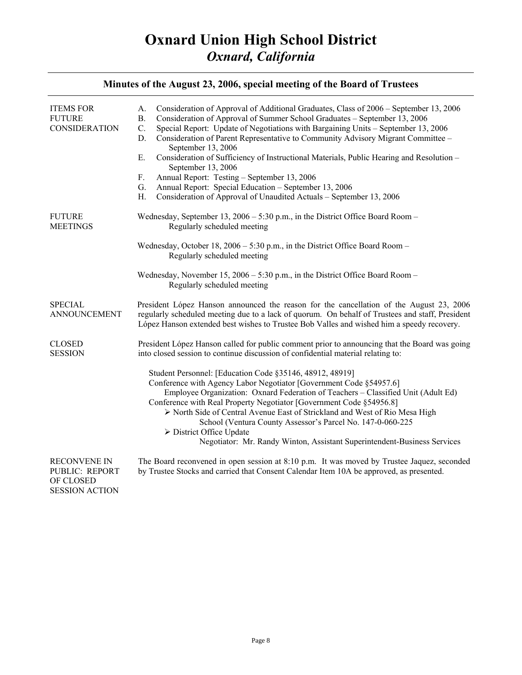| <b>ITEMS FOR</b><br><b>FUTURE</b><br><b>CONSIDERATION</b>                   | Consideration of Approval of Additional Graduates, Class of 2006 – September 13, 2006<br>А.<br>Consideration of Approval of Summer School Graduates - September 13, 2006<br><b>B.</b><br>Special Report: Update of Negotiations with Bargaining Units - September 13, 2006<br>C.<br>D.<br>Consideration of Parent Representative to Community Advisory Migrant Committee -<br>September 13, 2006<br>E.<br>Consideration of Sufficiency of Instructional Materials, Public Hearing and Resolution -<br>September 13, 2006<br>Annual Report: Testing - September 13, 2006<br>F.<br>Annual Report: Special Education - September 13, 2006<br>G.<br>Consideration of Approval of Unaudited Actuals - September 13, 2006<br>Η. |
|-----------------------------------------------------------------------------|---------------------------------------------------------------------------------------------------------------------------------------------------------------------------------------------------------------------------------------------------------------------------------------------------------------------------------------------------------------------------------------------------------------------------------------------------------------------------------------------------------------------------------------------------------------------------------------------------------------------------------------------------------------------------------------------------------------------------|
| <b>FUTURE</b><br><b>MEETINGS</b>                                            | Wednesday, September 13, 2006 - 5:30 p.m., in the District Office Board Room -<br>Regularly scheduled meeting                                                                                                                                                                                                                                                                                                                                                                                                                                                                                                                                                                                                             |
|                                                                             | Wednesday, October 18, 2006 - 5:30 p.m., in the District Office Board Room -<br>Regularly scheduled meeting                                                                                                                                                                                                                                                                                                                                                                                                                                                                                                                                                                                                               |
|                                                                             | Wednesday, November 15, $2006 - 5:30$ p.m., in the District Office Board Room –<br>Regularly scheduled meeting                                                                                                                                                                                                                                                                                                                                                                                                                                                                                                                                                                                                            |
| <b>SPECIAL</b><br><b>ANNOUNCEMENT</b>                                       | President López Hanson announced the reason for the cancellation of the August 23, 2006<br>regularly scheduled meeting due to a lack of quorum. On behalf of Trustees and staff, President<br>López Hanson extended best wishes to Trustee Bob Valles and wished him a speedy recovery.                                                                                                                                                                                                                                                                                                                                                                                                                                   |
| <b>CLOSED</b><br><b>SESSION</b>                                             | President López Hanson called for public comment prior to announcing that the Board was going<br>into closed session to continue discussion of confidential material relating to:                                                                                                                                                                                                                                                                                                                                                                                                                                                                                                                                         |
|                                                                             | Student Personnel: [Education Code §35146, 48912, 48919]<br>Conference with Agency Labor Negotiator [Government Code §54957.6]<br>Employee Organization: Oxnard Federation of Teachers - Classified Unit (Adult Ed)<br>Conference with Real Property Negotiator [Government Code §54956.8]<br>> North Side of Central Avenue East of Strickland and West of Rio Mesa High<br>School (Ventura County Assessor's Parcel No. 147-0-060-225<br>$\triangleright$ District Office Update<br>Negotiator: Mr. Randy Winton, Assistant Superintendent-Business Services                                                                                                                                                            |
| <b>RECONVENE IN</b><br>PUBLIC: REPORT<br>OF CLOSED<br><b>SESSION ACTION</b> | The Board reconvened in open session at 8:10 p.m. It was moved by Trustee Jaquez, seconded<br>by Trustee Stocks and carried that Consent Calendar Item 10A be approved, as presented.                                                                                                                                                                                                                                                                                                                                                                                                                                                                                                                                     |